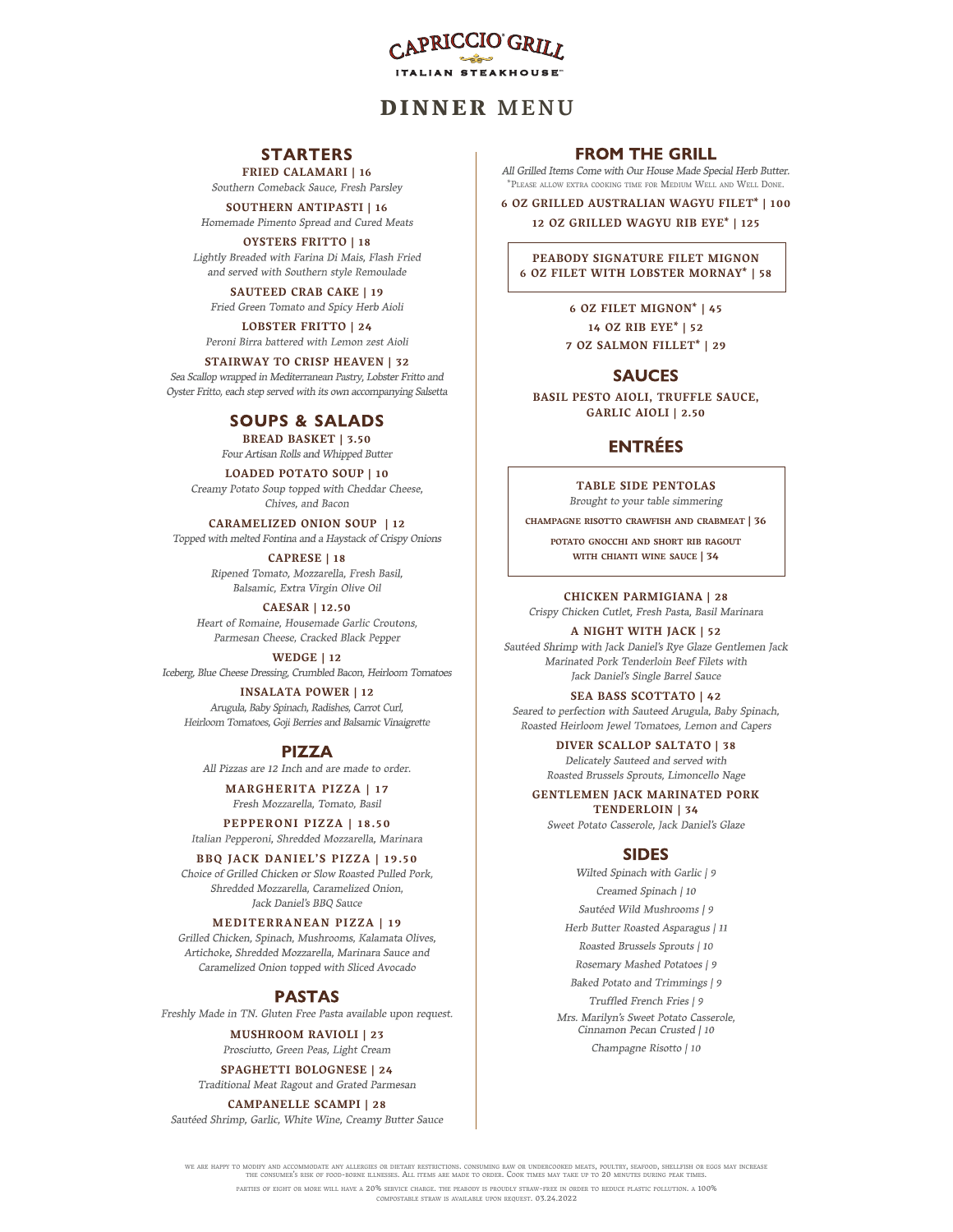

# **STARTERS**

FRIED CALAMARI | 16<br>Southern Comeback Sauce, Fresh Parsley

SOUTHERN ANTIPASTI | 16<br>Homemade Pimento Spread and Cured Meats

**OYSTERS FRITTO | 18**<br>Lightly Breaded with Farina Di Mais, Flash Fried

SAUTEED CRAB CAKE | 19 Fried Green Tomato and Spicy Herb Aioli

LOBSTER FRITTO | 24<br>Peroni Birra battered with Lemon zest Aioli

STAIRWAY TO CRISP HEAVEN | 32<br>Sea Scallop wrapped in Mediterranean Pastry, Lobster Fritto and Oyster Fritto, each step served with its own accompanying Salsetta

# **SOUPS & SALADS**

BREAD BASKET | 3.50<br>Four Artisan Rolls and Whipped Butter

LOADED POTATO SOUP | 10<br>Creamy Potato Soup topped with Cheddar Cheese, Chives, and Bacon

# CARAMELIZED ONION SOUP | 12<br>Topped with melted Fontina and a Haystack of Crispy Onions

CAPRESE | 18<br>Ripened Tomato, Mozzarella, Fresh Basil, Balsamic, Extra Virgin Olive Oil

CAESAR | 12.50<br>Heart of Romaine, Housemade Garlic Croutons, Parmesan Cheese, Cracked Black Pepper

WEDGE | 12

Iceberg, Blue Cheese Dressing, Crumbled Bacon, Heirloom Tomatoes

# INSALATA POWER | 12<br>Arugula, Baby Spinach, Radishes, Carrot Curl,

Heirloom Tomatoes, Goji Berries and Balsamic Vinaigrette

#### **PIZZA**

All Pizzas are 12 Inch and are made to order.

MARGHERITA PIZZA | 17<br>Fresh Mozzarella, Tomato, Basil

PEPPERONI PIZZA | 18.50<br>Italian Pepperoni, Shredded Mozzarella, Marinara

BBQ JACK DANIEL'S PIZZA | 19.50<br>Choice of Grilled Chicken or Slow Roasted Pulled Pork, Shredded Mozzarella, Caramelized Onion, Jack Daniel's BBQ Sauce

Artichoke, Shredded Mozzarella, Marinara Sauce and Caramelized Onion topped with Sliced Avocado

### **PASTAS**

Freshly Made in TN. Gluten Free Pasta available upon request.

MUSHROOM RAVIOLI | 23<br>Prosciutto, Green Peas, Light Cream

SPAGHETTI BOLOGNESE | 24<br>Traditional Meat Ragout and Grated Parmesan

CAMPANELLE SCAMPI | 28<br>Sautéed Shrimp, Garlic, White Wine, Creamy Butter Sauce

All Grilled Items Come with Our House Made Special Herb Butter. \*PLEASE ALLOW EXTRA COOKING TIME FOR MEDIUM WELL AND WELL DONE.

6 OZ GRILLED AUSTRALIAN WAGYU FILET\* | 100 12 OZ GRILLED WAGYU RIB EYE\* | 125

PEABODY SIGNATURE FILET MIGNON 6 OZ FILET WITH LOBSTER MORNAY\* | 58

> 6 OZ FILET MIGNON\* | 45 14 OZ RIB EYE\* | 52 7 OZ SALMON FILLET\* | 29

## **SAUCES**

BASIL PESTO AIOLI, TRUFFLE SAUCE, GARLIC AIOLI | 2.50

# **ENTRÉES**

TABLE SIDE PENTOLAS<br>Brought to your table simmering

CHAMPAGNE RISOTTO CRAWFISH AND CRABMEAT | 36

POTATO GNOCCHI AND SHORT RIB RAGOUT<br>WITH CHIANTI WINE SAUCE | 34

**CHICKEN PARMIGIANA | 28**<br>Crispy Chicken Cutlet, Fresh Pasta, Basil Marinara

**A NIGHT WITH JACK | 52**<br>Sautéed Shrimp with Jack Daniel's Rye Glaze Gentlemen Jack Marinated Pork Tenderloin Beef Filets with Jack Daniel's Single Barrel Sauce

SEA BASS SCOTTATO | 42<br>Seared to perfection with Sauteed Arugula, Baby Spinach, Roasted Heirloom Jewel Tomatoes, Lemon and Capers

> **DIVER SCALLOP SALTATO | 38**<br>Delicately Sauteed and served with Roasted Brussels Sprouts, Limoncello Nage

GENTLEMEN JACK MARINATED PORK TENDERLOIN | 34 Sweet Potato Casserole, Jack Daniel's Glaze

#### **SIDES**

Wilted Spinach with Garlic | 9 Creamed Spinach | 10 Sautéed Wild Mushrooms | 9 MEDITERRANEAN PIZZA | 19<br>
Grilled Chicken. Spinach. Mushrooms. Kalamata Olives. <br>
Grilled Chicken. Spinach. Mushrooms. Kalamata Olives. Roasted Brussels Sprouts | 10 Rosemary Mashed Potatoes | 9 Baked Potato and Trimmings | 9 Truffled French Fries | 9 Mrs. Marilyn's Sweet Potato Casserole, Cinnamon Pecan Crusted | 10 Champagne Risotto | 10

WE ARE HAPPY TO MODIFY AND ACCOMMODATE ANY ALLERGIES OR DIETARY RESTRICTIONS. CONSUMING RAW OR UNDERCOOKED MEATS, POULTRY, SEAFOOD, SHELLFISH OR EGGS MAY INCREASE<br>THE CONSUMER'S RISK OF FOOD-BORNE ILLNESSES. ALL ITEMS ARE